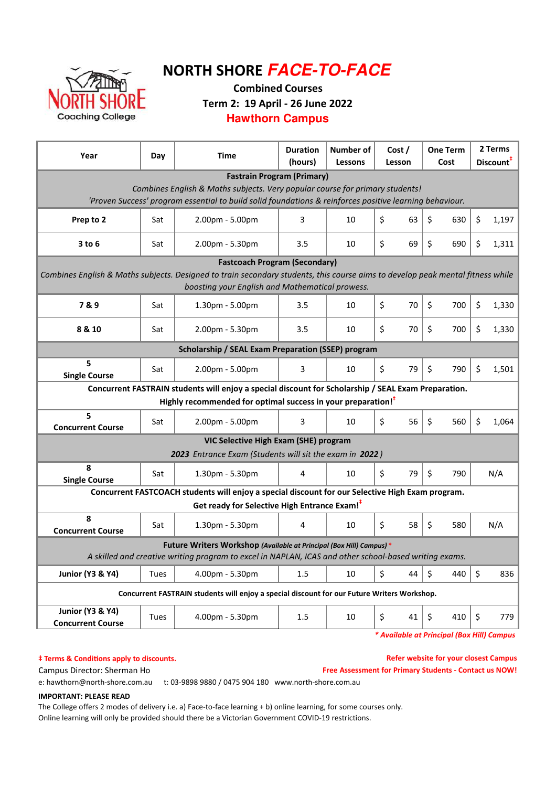

# NORTH SHORE **FACE-TO-FACE**

Combined Courses

Term 2: 19 April - 26 June 2022

**Hawthorn Campus**

| Year                                                                                                                                                                              | Day  | <b>Time</b>                                                                                         | <b>Duration</b><br>(hours) | Number of<br><b>Lessons</b> | Cost /<br>Lesson | <b>One Term</b><br>Cost | 2 Terms<br>Discount <sup>#</sup> |  |  |  |  |  |  |
|-----------------------------------------------------------------------------------------------------------------------------------------------------------------------------------|------|-----------------------------------------------------------------------------------------------------|----------------------------|-----------------------------|------------------|-------------------------|----------------------------------|--|--|--|--|--|--|
| <b>Fastrain Program (Primary)</b>                                                                                                                                                 |      |                                                                                                     |                            |                             |                  |                         |                                  |  |  |  |  |  |  |
| Combines English & Maths subjects. Very popular course for primary students!                                                                                                      |      |                                                                                                     |                            |                             |                  |                         |                                  |  |  |  |  |  |  |
| 'Proven Success' program essential to build solid foundations & reinforces positive learning behaviour.                                                                           |      |                                                                                                     |                            |                             |                  |                         |                                  |  |  |  |  |  |  |
| Prep to 2                                                                                                                                                                         | Sat  | 2.00pm - 5.00pm                                                                                     | 3                          | 10                          | \$<br>63         | \$<br>630               | \$<br>1,197                      |  |  |  |  |  |  |
| $3$ to $6$                                                                                                                                                                        | Sat  | 2.00pm - 5.30pm                                                                                     | 3.5                        | 10                          | \$<br>69         | \$<br>690               | \$<br>1,311                      |  |  |  |  |  |  |
| <b>Fastcoach Program (Secondary)</b>                                                                                                                                              |      |                                                                                                     |                            |                             |                  |                         |                                  |  |  |  |  |  |  |
| Combines English & Maths subjects. Designed to train secondary students, this course aims to develop peak mental fitness while<br>boosting your English and Mathematical prowess. |      |                                                                                                     |                            |                             |                  |                         |                                  |  |  |  |  |  |  |
| 7&9                                                                                                                                                                               | Sat  | 1.30pm - 5.00pm                                                                                     | 3.5                        | 10                          | \$<br>70         | \$<br>700               | \$<br>1,330                      |  |  |  |  |  |  |
| 8 & 10                                                                                                                                                                            | Sat  | 2.00pm - 5.30pm                                                                                     | 3.5                        | 10                          | Ś<br>70          | \$<br>700               | \$<br>1,330                      |  |  |  |  |  |  |
| <b>Scholarship / SEAL Exam Preparation (SSEP) program</b>                                                                                                                         |      |                                                                                                     |                            |                             |                  |                         |                                  |  |  |  |  |  |  |
| 5<br><b>Single Course</b>                                                                                                                                                         | Sat  | 2.00pm - 5.00pm                                                                                     | 3                          | 10                          | \$<br>79         | \$<br>790               | \$<br>1,501                      |  |  |  |  |  |  |
|                                                                                                                                                                                   |      | Concurrent FASTRAIN students will enjoy a special discount for Scholarship / SEAL Exam Preparation. |                            |                             |                  |                         |                                  |  |  |  |  |  |  |
|                                                                                                                                                                                   |      | Highly recommended for optimal success in your preparation! <sup>#</sup>                            |                            |                             |                  |                         |                                  |  |  |  |  |  |  |
| 5<br><b>Concurrent Course</b>                                                                                                                                                     | Sat  | 2.00pm - 5.00pm                                                                                     | 3                          | 10                          | 56<br>\$         | $\zeta$<br>560          | \$<br>1,064                      |  |  |  |  |  |  |
|                                                                                                                                                                                   |      | VIC Selective High Exam (SHE) program                                                               |                            |                             |                  |                         |                                  |  |  |  |  |  |  |
|                                                                                                                                                                                   |      | 2023 Entrance Exam (Students will sit the exam in 2022)                                             |                            |                             |                  |                         |                                  |  |  |  |  |  |  |
| 8<br><b>Single Course</b>                                                                                                                                                         | Sat  | 1.30pm - 5.30pm                                                                                     | 4                          | 10                          | \$<br>79         | \$<br>790               | N/A                              |  |  |  |  |  |  |
|                                                                                                                                                                                   |      | Concurrent FASTCOACH students will enjoy a special discount for our Selective High Exam program.    |                            |                             |                  |                         |                                  |  |  |  |  |  |  |
|                                                                                                                                                                                   |      | Get ready for Selective High Entrance Exam! <sup>#</sup>                                            |                            |                             |                  |                         |                                  |  |  |  |  |  |  |
| 8<br><b>Concurrent Course</b>                                                                                                                                                     | Sat  | 1.30pm - 5.30pm                                                                                     | 4                          | 10                          | \$<br>58         | \$<br>580               | N/A                              |  |  |  |  |  |  |
| Future Writers Workshop (Available at Principal (Box Hill) Campus) *<br>A skilled and creative writing program to excel in NAPLAN, ICAS and other school-based writing exams.     |      |                                                                                                     |                            |                             |                  |                         |                                  |  |  |  |  |  |  |
|                                                                                                                                                                                   |      |                                                                                                     |                            |                             |                  |                         |                                  |  |  |  |  |  |  |
| <b>Junior (Y3 &amp; Y4)</b>                                                                                                                                                       | Tues | 4.00pm - 5.30pm                                                                                     | 1.5                        | 10                          | \$<br>44         | \$<br>440               | \$<br>836                        |  |  |  |  |  |  |
| Concurrent FASTRAIN students will enjoy a special discount for our Future Writers Workshop.                                                                                       |      |                                                                                                     |                            |                             |                  |                         |                                  |  |  |  |  |  |  |
| <b>Junior (Y3 &amp; Y4)</b><br><b>Concurrent Course</b>                                                                                                                           | Tues | 4.00pm - 5.30pm                                                                                     | $1.5\,$                    | 10                          | \$<br>41         | \$<br>410               | \$<br>779                        |  |  |  |  |  |  |

\* Available at Principal (Box Hill) Campus

 $‡ Terms & Conditions apply to discounts.$ 

Campus Director: Sherman Ho Free Assessment for Primary Students - Contact us NOW! Refer website for your closest Campus

e: hawthorn@north-shore.com.au t: 03-9898 9880 / 0475 904 180 www.north-shore.com.au

### IMPORTANT: PLEASE READ

The College offers 2 modes of delivery i.e. a) Face-to-face learning + b) online learning, for some courses only. Online learning will only be provided should there be a Victorian Government COVID-19 restrictions.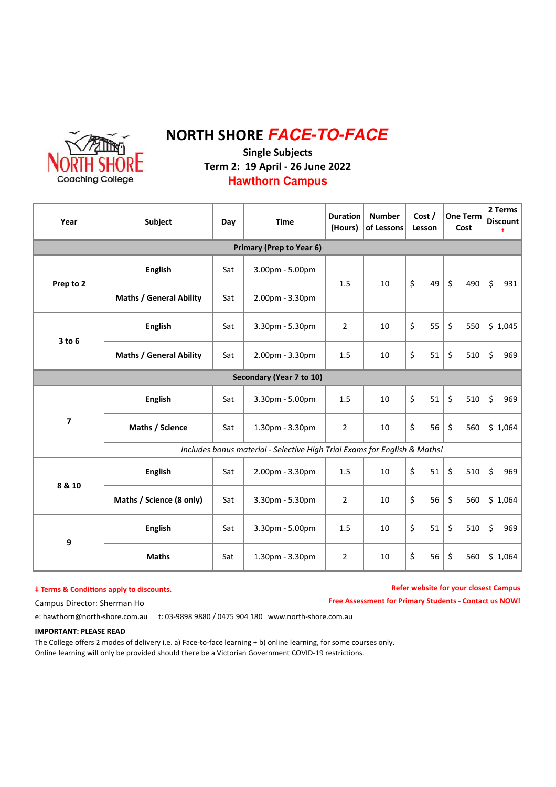

### NORTH SHORE **FACE-TO-FACE** Single Subjects Term 2: 19 April - 26 June 2022 **Hawthorn Campus**

#### Year Subject Day Time Duration (Hours) Number of Lessons Cost / Lesson One Term Cost 2 Terms **Discount** ‡  $10 \mid 5 \mid 49$ Primary (Prep to Year 6) English | Sat Sat **Prep to 2**  $\begin{array}{|c|c|c|c|c|c|}\n\hline\n\text{Prepto 2} & \begin{array}{|c|c|c|c|c|}\n\hline\n\text{Prepto 3} & \begin{array}{|c|c|c|c|}\n\hline\n\text{S} & \begin{array}{|c|c|c|c|}\n\hline\n\text{S} & \begin{array}{|c|c|c|}\n\hline\n\text{S} & \begin{array}{|c|c|c|}\n\hline\n\text{S} & \begin{array}{|c|c|c|}\n\hline\n\text{S} & \begin{array}{|c|c|c|}\n\hline\n$ Maths / General Ability 1.5 3.00pm - 5.00pm 2.00pm - 3.30pm 9 **Maths**  $\vert$  Sat | 1.30pm - 3.30pm | 2 English Maths / Science (8 only) 8 & 10 **English** | Sat | 2.00pm - 3.30pm | 1.5 Sat Sat 2 Sat Sat 3.30pm - 5.00pm 2.00pm - 3.30pm **English** | Sat | 3.30pm - 5.30pm | 2 | 10 1.5 | 10 | \$ 51 | \$ 510 | \$ 969  $$ 1,045$ Includes bonus material - Selective High Trial Exams for English & Maths! English Maths / Science 10  $1.5$  10 Sat Sat Secondary (Year 7 to 10) Sat \$ 55 3 to 6 Maths / General Ability  $$ 510$ \$ 560 \$ 550 \$ 56  $$51$   $$51$ 7 3.30pm - 5.00pm 1.30pm - 3.30pm  $$ 1,064$  $\begin{array}{cc} \text{5} & 51 \end{array}$   $\begin{array}{cc} \text{5} & 510 \end{array}$   $\begin{array}{cc} \text{5} & 969 \end{array}$  $$56$   $$56$  $$ 1,064$ \$ 969 \$ 969  $$560$   $$1.064$ \$ 510 \$ 51  $1.5$  10 3.30pm - 5.30pm 10 10  $\overline{2}$  $$ 51$  $10 \mid 5 \mid 56$ 10 Sat

#### $†$  Terms & Conditions apply to discounts.

#### Refer website for your closest Campus

Free Assessment for Primary Students - Contact us NOW!

Campus Director: Sherman Ho

e: hawthorn@north-shore.com.au t: 03-9898 9880 / 0475 904 180 www.north-shore.com.au

#### IMPORTANT: PLEASE READ

The College offers 2 modes of delivery i.e. a) Face-to-face learning + b) online learning, for some courses only. Online learning will only be provided should there be a Victorian Government COVID-19 restrictions.